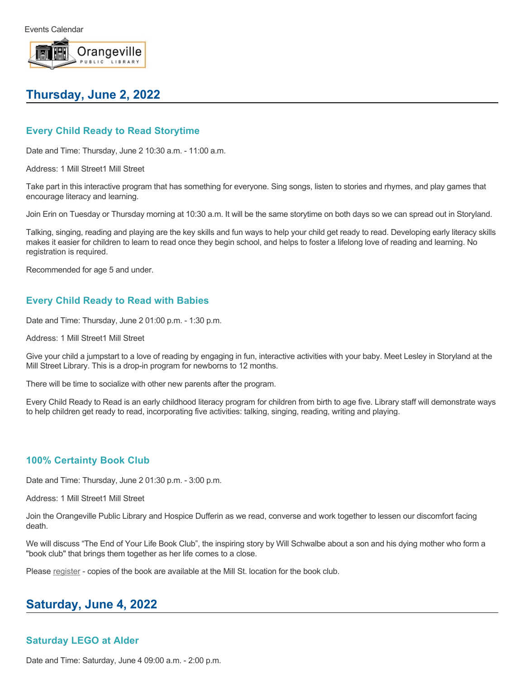

# **Thursday, June 2, 2022**

### **Every Child Ready to Read Storytime**

Date and Time: Thursday, June 2 10:30 a.m. - 11:00 a.m.

Address: 1 Mill Street1 Mill Street

Take part in this interactive program that has something for everyone. Sing songs, listen to stories and rhymes, and play games that encourage literacy and learning.

Join Erin on Tuesday or Thursday morning at 10:30 a.m. It will be the same storytime on both days so we can spread out in Storyland.

Talking, singing, reading and playing are the key skills and fun ways to help your child get ready to read. Developing early literacy skills makes it easier for children to learn to read once they begin school, and helps to foster a lifelong love of reading and learning. No registration is required.

Recommended for age 5 and under.

### **Every Child Ready to Read with Babies**

Date and Time: Thursday, June 2 01:00 p.m. - 1:30 p.m.

Address: 1 Mill Street1 Mill Street

Give your child a jumpstart to a love of reading by engaging in fun, interactive activities with your baby. Meet Lesley in Storyland at the Mill Street Library. This is a drop-in program for newborns to 12 months.

There will be time to socialize with other new parents after the program.

Every Child Ready to Read is an early childhood literacy program for children from birth to age five. Library staff will demonstrate ways to help children get ready to read, incorporating five activities: talking, singing, reading, writing and playing.

### **100% Certainty Book Club**

Date and Time: Thursday, June 2 01:30 p.m. - 3:00 p.m.

Address: 1 Mill Street1 Mill Street

Join the Orangeville Public Library and Hospice Dufferin as we read, converse and work together to lessen our discomfort facing death.

We will discuss "The End of Your Life Book Club", the inspiring story by Will Schwalbe about a son and his dying mother who form a "book club" that brings them together as her life comes to a close.

Please [register](https://forms.orangevillelibrary.ca/100-Percent-Certainty-Book-Club-June-2) - copies of the book are available at the Mill St. location for the book club.

# **Saturday, June 4, 2022**

## **Saturday LEGO at Alder**

Date and Time: Saturday, June 4 09:00 a.m. - 2:00 p.m.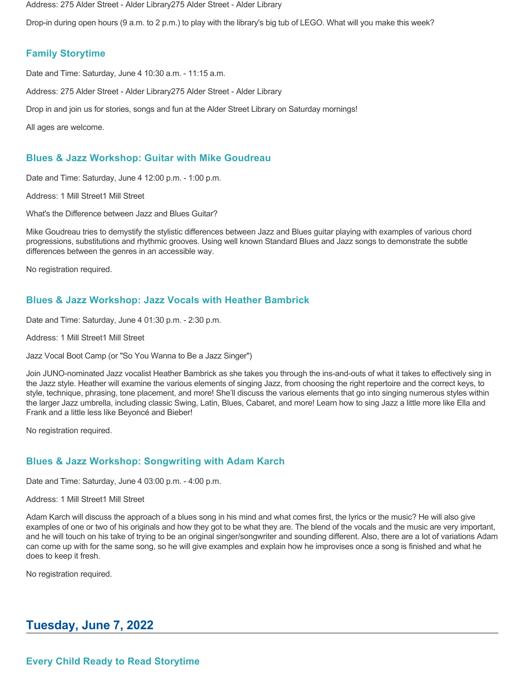Address: 275 Alder Street - Alder Library275 Alder Street - Alder Library

Drop-in during open hours (9 a.m. to 2 p.m.) to play with the library's big tub of LEGO. What will you make this week?

#### **Family Storytime**

Date and Time: Saturday, June 4 10:30 a.m. - 11:15 a.m.

Address: 275 Alder Street - Alder Library275 Alder Street - Alder Library

Drop in and join us for stories, songs and fun at the Alder Street Library on Saturday mornings!

All ages are welcome.

#### **Blues & Jazz Workshop: Guitar with Mike Goudreau**

Date and Time: Saturday, June 4 12:00 p.m. - 1:00 p.m.

Address: 1 Mill Street1 Mill Street

What's the Difference between Jazz and Blues Guitar?

Mike Goudreau tries to demystify the stylistic differences between Jazz and Blues guitar playing with examples of various chord progressions, substitutions and rhythmic grooves. Using well known Standard Blues and Jazz songs to demonstrate the subtle differences between the genres in an accessible way.

No registration required.

#### **Blues & Jazz Workshop: Jazz Vocals with Heather Bambrick**

Date and Time: Saturday, June 4 01:30 p.m. - 2:30 p.m.

Address: 1 Mill Street1 Mill Street

Jazz Vocal Boot Camp (or "So You Wanna to Be a Jazz Singer")

Join JUNO-nominated Jazz vocalist Heather Bambrick as she takes you through the ins-and-outs of what it takes to effectively sing in the Jazz style. Heather will examine the various elements of singing Jazz, from choosing the right repertoire and the correct keys, to style, technique, phrasing, tone placement, and more! She'll discuss the various elements that go into singing numerous styles within the larger Jazz umbrella, including classic Swing, Latin, Blues, Cabaret, and more! Learn how to sing Jazz a little more like Ella and Frank and a little less like Beyoncé and Bieber!

No registration required.

#### **Blues & Jazz Workshop: Songwriting with Adam Karch**

Date and Time: Saturday, June 4 03:00 p.m. - 4:00 p.m.

Address: 1 Mill Street1 Mill Street

Adam Karch will discuss the approach of a blues song in his mind and what comes first, the lyrics or the music? He will also give examples of one or two of his originals and how they got to be what they are. The blend of the vocals and the music are very important, and he will touch on his take of trying to be an original singer/songwriter and sounding different. Also, there are a lot of variations Adam can come up with for the same song, so he will give examples and explain how he improvises once a song is finished and what he does to keep it fresh.

No registration required.

## **Tuesday, June 7, 2022**

### **Every Child Ready to Read Storytime**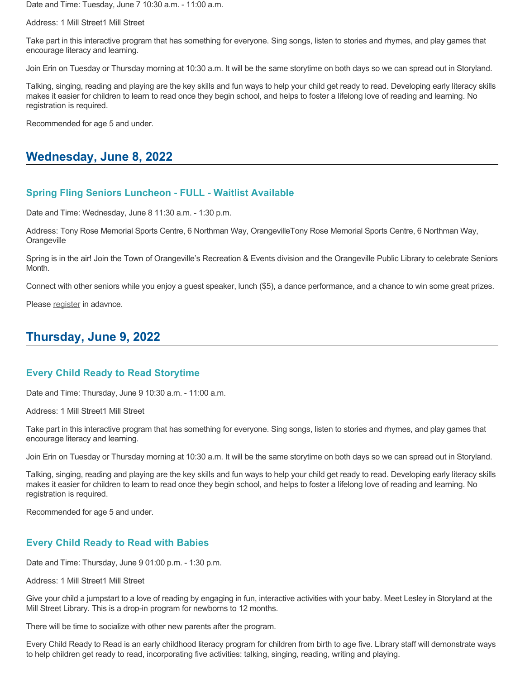Date and Time: Tuesday, June 7 10:30 a.m. - 11:00 a.m.

Address: 1 Mill Street1 Mill Street

Take part in this interactive program that has something for everyone. Sing songs, listen to stories and rhymes, and play games that encourage literacy and learning.

Join Erin on Tuesday or Thursday morning at 10:30 a.m. It will be the same storytime on both days so we can spread out in Storyland.

Talking, singing, reading and playing are the key skills and fun ways to help your child get ready to read. Developing early literacy skills makes it easier for children to learn to read once they begin school, and helps to foster a lifelong love of reading and learning. No registration is required.

Recommended for age 5 and under.

## **Wednesday, June 8, 2022**

#### **Spring Fling Seniors Luncheon - FULL - Waitlist Available**

Date and Time: Wednesday, June 8 11:30 a.m. - 1:30 p.m.

Address: Tony Rose Memorial Sports Centre, 6 Northman Way, OrangevilleTony Rose Memorial Sports Centre, 6 Northman Way, **Orangeville** 

Spring is in the air! Join the Town of Orangeville's Recreation & Events division and the Orangeville Public Library to celebrate Seniors Month.

Connect with other seniors while you enjoy a guest speaker, lunch (\$5), a dance performance, and a chance to win some great prizes.

Please [register](https://townoforangeville.perfectmind.com/23813/Clients/BookMe4LandingPages/CoursesLandingPage?widgetId=3d1c7d00-16f1-4306-b752-26670ebc9a6f&redirectedFromEmbededMode=True&courseId=0d648fca-f755-499c-8d51-8fdf0c1ea8a4&fbclid=IwAR1mTJHaQtGRQzCGGXUXT6u-0nljpvp65WAi9_rtyMVxjjE_PYan33YhB0E) in adavnce.

## **Thursday, June 9, 2022**

#### **Every Child Ready to Read Storytime**

Date and Time: Thursday, June 9 10:30 a.m. - 11:00 a.m.

Address: 1 Mill Street1 Mill Street

Take part in this interactive program that has something for everyone. Sing songs, listen to stories and rhymes, and play games that encourage literacy and learning.

Join Erin on Tuesday or Thursday morning at 10:30 a.m. It will be the same storytime on both days so we can spread out in Storyland.

Talking, singing, reading and playing are the key skills and fun ways to help your child get ready to read. Developing early literacy skills makes it easier for children to learn to read once they begin school, and helps to foster a lifelong love of reading and learning. No registration is required.

Recommended for age 5 and under.

### **Every Child Ready to Read with Babies**

Date and Time: Thursday, June 9 01:00 p.m. - 1:30 p.m.

Address: 1 Mill Street1 Mill Street

Give your child a jumpstart to a love of reading by engaging in fun, interactive activities with your baby. Meet Lesley in Storyland at the Mill Street Library. This is a drop-in program for newborns to 12 months.

There will be time to socialize with other new parents after the program.

Every Child Ready to Read is an early childhood literacy program for children from birth to age five. Library staff will demonstrate ways to help children get ready to read, incorporating five activities: talking, singing, reading, writing and playing.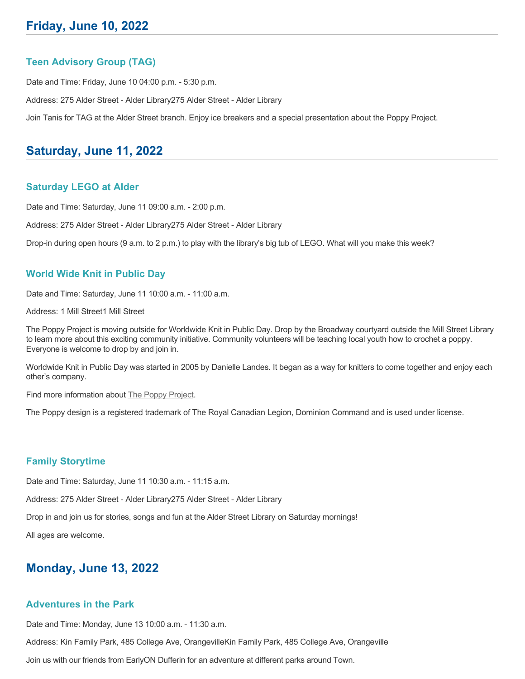### **Teen Advisory Group (TAG)**

Date and Time: Friday, June 10 04:00 p.m. - 5:30 p.m.

Address: 275 Alder Street - Alder Library275 Alder Street - Alder Library

Join Tanis for TAG at the Alder Street branch. Enjoy ice breakers and a special presentation about the Poppy Project.

## **Saturday, June 11, 2022**

### **Saturday LEGO at Alder**

Date and Time: Saturday, June 11 09:00 a.m. - 2:00 p.m.

Address: 275 Alder Street - Alder Library275 Alder Street - Alder Library

Drop-in during open hours (9 a.m. to 2 p.m.) to play with the library's big tub of LEGO. What will you make this week?

#### **World Wide Knit in Public Day**

Date and Time: Saturday, June 11 10:00 a.m. - 11:00 a.m.

Address: 1 Mill Street1 Mill Street

The Poppy Project is moving outside for Worldwide Knit in Public Day. Drop by the Broadway courtyard outside the Mill Street Library to learn more about this exciting community initiative. Community volunteers will be teaching local youth how to crochet a poppy. Everyone is welcome to drop by and join in.

Worldwide Knit in Public Day was started in 2005 by Danielle Landes. It began as a way for knitters to come together and enjoy each other's company.

Find more information about [The Poppy Project.](http://www.orangeville.ca/poppyproject)

The Poppy design is a registered trademark of The Royal Canadian Legion, Dominion Command and is used under license.

### **Family Storytime**

Date and Time: Saturday, June 11 10:30 a.m. - 11:15 a.m.

Address: 275 Alder Street - Alder Library275 Alder Street - Alder Library

Drop in and join us for stories, songs and fun at the Alder Street Library on Saturday mornings!

All ages are welcome.

# **Monday, June 13, 2022**

#### **Adventures in the Park**

Date and Time: Monday, June 13 10:00 a.m. - 11:30 a.m.

Address: Kin Family Park, 485 College Ave, OrangevilleKin Family Park, 485 College Ave, Orangeville

Join us with our friends from EarlyON Dufferin for an adventure at different parks around Town.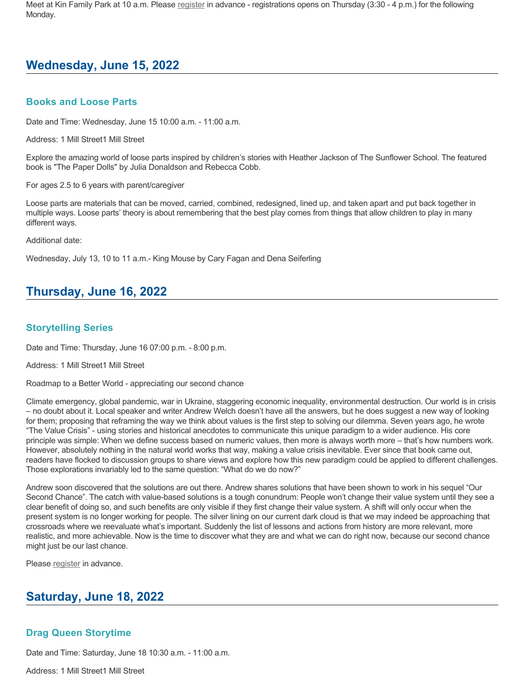Meet at Kin Family Park at 10 a.m. Please <u>register</u> in advance - registrations opens on Thursday (3:30 - 4 p.m.) for the following Monday.

# **Wednesday, June 15, 2022**

## **Books and Loose Parts**

Date and Time: Wednesday, June 15 10:00 a.m. - 11:00 a.m.

Address: 1 Mill Street1 Mill Street

Explore the amazing world of loose parts inspired by children's stories with Heather Jackson of The Sunflower School. The featured book is "The Paper Dolls" by Julia Donaldson and Rebecca Cobb.

For ages 2.5 to 6 years with parent/caregiver

Loose parts are materials that can be moved, carried, combined, redesigned, lined up, and taken apart and put back together in multiple ways. Loose parts' theory is about remembering that the best play comes from things that allow children to play in many different ways.

Additional date:

Wednesday, July 13, 10 to 11 a.m.- King Mouse by Cary Fagan and Dena Seiferling

# **Thursday, June 16, 2022**

### **Storytelling Series**

Date and Time: Thursday, June 16 07:00 p.m. - 8:00 p.m.

Address: 1 Mill Street1 Mill Street

Roadmap to a Better World - appreciating our second chance

Climate emergency, global pandemic, war in Ukraine, staggering economic inequality, environmental destruction. Our world is in crisis – no doubt about it. Local speaker and writer Andrew Welch doesn't have all the answers, but he does suggest a new way of looking for them; proposing that reframing the way we think about values is the first step to solving our dilemma. Seven years ago, he wrote "The Value Crisis" - using stories and historical anecdotes to communicate this unique paradigm to a wider audience. His core principle was simple: When we define success based on numeric values, then more is always worth more – that's how numbers work. However, absolutely nothing in the natural world works that way, making a value crisis inevitable. Ever since that book came out, readers have flocked to discussion groups to share views and explore how this new paradigm could be applied to different challenges. Those explorations invariably led to the same question: "What do we do now?"

Andrew soon discovered that the solutions are out there. Andrew shares solutions that have been shown to work in his sequel "Our Second Chance". The catch with value-based solutions is a tough conundrum: People won't change their value system until they see a clear benefit of doing so, and such benefits are only visible if they first change their value system. A shift will only occur when the present system is no longer working for people. The silver lining on our current dark cloud is that we may indeed be approaching that crossroads where we reevaluate what's important. Suddenly the list of lessons and actions from history are more relevant, more realistic, and more achievable. Now is the time to discover what they are and what we can do right now, because our second chance might just be our last chance.

Please [register](https://forms.orangevillelibrary.ca/Storytelling-Series-Andrew-Welch) in advance.

## **Saturday, June 18, 2022**

### **Drag Queen Storytime**

Date and Time: Saturday, June 18 10:30 a.m. - 11:00 a.m.

Address: 1 Mill Street1 Mill Street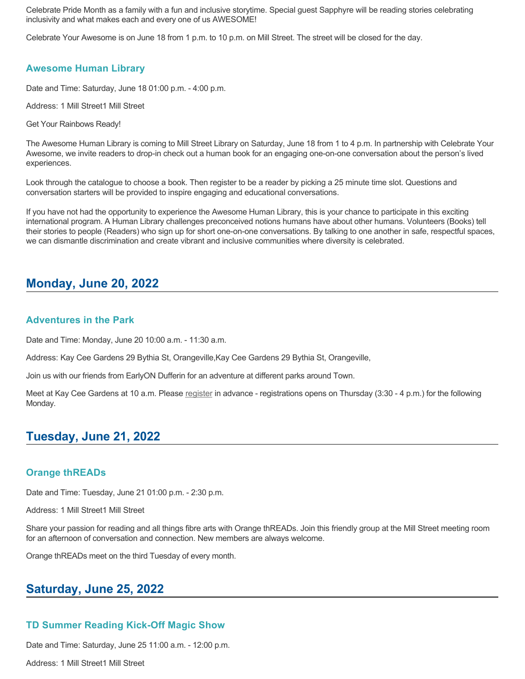Celebrate Pride Month as a family with a fun and inclusive storytime. Special guest Sapphyre will be reading stories celebrating inclusivity and what makes each and every one of us AWESOME!

Celebrate Your Awesome is on June 18 from 1 p.m. to 10 p.m. on Mill Street. The street will be closed for the day.

### **Awesome Human Library**

Date and Time: Saturday, June 18 01:00 p.m. - 4:00 p.m.

Address: 1 Mill Street1 Mill Street

Get Your Rainbows Ready!

The Awesome Human Library is coming to Mill Street Library on Saturday, June 18 from 1 to 4 p.m. In partnership with Celebrate Your Awesome, we invite readers to drop-in check out a human book for an engaging one-on-one conversation about the person's lived experiences.

Look through the catalogue to choose a book. Then register to be a reader by picking a 25 minute time slot. Questions and conversation starters will be provided to inspire engaging and educational conversations.

If you have not had the opportunity to experience the Awesome Human Library, this is your chance to participate in this exciting international program. A Human Library challenges preconceived notions humans have about other humans. Volunteers (Books) tell their stories to people (Readers) who sign up for short one-on-one conversations. By talking to one another in safe, respectful spaces, we can dismantle discrimination and create vibrant and inclusive communities where diversity is celebrated.

## **Monday, June 20, 2022**

#### **Adventures in the Park**

Date and Time: Monday, June 20 10:00 a.m. - 11:30 a.m.

Address: Kay Cee Gardens 29 Bythia St, Orangeville,Kay Cee Gardens 29 Bythia St, Orangeville,

Join us with our friends from EarlyON Dufferin for an adventure at different parks around Town.

Meet at Kay Cee Gardens at 10 a.m. Please [register](https://register.onehsn.com/Dufferin?fbclid=IwAR1Rv1mMtAaEIYWexMF0n9ZC2ZysAEHnEGIY-kQHsm27P2gPQ3jmybowayc) in advance - registrations opens on Thursday (3:30 - 4 p.m.) for the following Monday.

## **Tuesday, June 21, 2022**

#### **Orange thREADs**

Date and Time: Tuesday, June 21 01:00 p.m. - 2:30 p.m.

Address: 1 Mill Street1 Mill Street

Share your passion for reading and all things fibre arts with Orange thREADs. Join this friendly group at the Mill Street meeting room for an afternoon of conversation and connection. New members are always welcome.

Orange thREADs meet on the third Tuesday of every month.

## **Saturday, June 25, 2022**

### **TD Summer Reading Kick-Off Magic Show**

Date and Time: Saturday, June 25 11:00 a.m. - 12:00 p.m.

Address: 1 Mill Street1 Mill Street